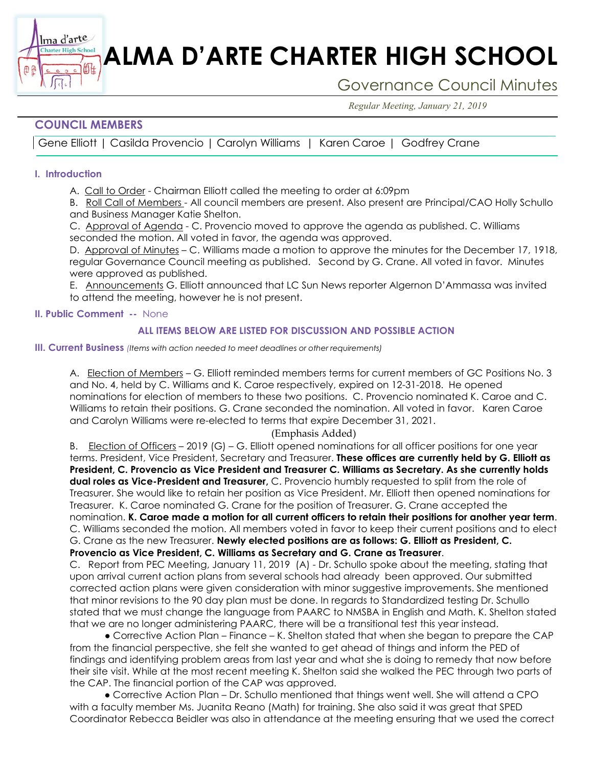# **ALMA D'ARTE CHARTER HIGH SCHOOL**

## Governance Council Minutes

*Regular Meeting, January 21, 2019*

### **COUNCIL MEMBERS**

衄

Gene Elliott | Casilda Provencio | Carolyn Williams | Karen Caroe | Godfrey Crane

#### **I. Introduction**

Ima d'arte **Charter High School** 

A. Call to Order - Chairman Elliott called the meeting to order at 6:09pm

B. Roll Call of Members - All council members are present. Also present are Principal/CAO Holly Schullo and Business Manager Katie Shelton.

C. Approval of Agenda - C. Provencio moved to approve the agenda as published. C. Williams seconded the motion. All voted in favor, the agenda was approved.

D. Approval of Minutes - C. Williams made a motion to approve the minutes for the December 17, 1918, regular Governance Council meeting as published. Second by G. Crane. All voted in favor. Minutes were approved as published.

E. Announcements G. Elliott announced that LC Sun News reporter Algernon D'Ammassa was invited to attend the meeting, however he is not present.

**II. Public Comment --** None

#### **ALL ITEMS BELOW ARE LISTED FOR DISCUSSION AND POSSIBLE ACTION**

**III. Current Business** *(Items with action needed to meet deadlines or other requirements)*

A. Election of Members – G. Elliott reminded members terms for current members of GC Positions No. 3 and No. 4, held by C. Williams and K. Caroe respectively, expired on 12-31-2018. He opened nominations for election of members to these two positions. C. Provencio nominated K. Caroe and C. Williams to retain their positions. G. Crane seconded the nomination. All voted in favor. Karen Caroe and Carolyn Williams were re-elected to terms that expire December 31, 2021.

#### (Emphasis Added)

B. Election of Officers – 2019 (G) – G. Elliott opened nominations for all officer positions for one year terms. President, Vice President, Secretary and Treasurer. **These offices are currently held by G. Elliott as President, C. Provencio as Vice President and Treasurer C. Williams as Secretary. As she currently holds dual roles as Vice-President and Treasurer,** C. Provencio humbly requested to split from the role of Treasurer. She would like to retain her position as Vice President. Mr. Elliott then opened nominations for Treasurer. K. Caroe nominated G. Crane for the position of Treasurer. G. Crane accepted the nomination. **K. Caroe made a motion for all current officers to retain their positions for another year term**. C. Williams seconded the motion. All members voted in favor to keep their current positions and to elect G. Crane as the new Treasurer. **Newly elected positions are as follows: G. Elliott as President, C. Provencio as Vice President, C. Williams as Secretary and G. Crane as Treasurer**.

C. Report from PEC Meeting, January 11, 2019 (A) - Dr. Schullo spoke about the meeting, stating that upon arrival current action plans from several schools had already been approved. Our submitted corrected action plans were given consideration with minor suggestive improvements. She mentioned that minor revisions to the 90 day plan must be done. In regards to Standardized testing Dr. Schullo stated that we must change the language from PAARC to NMSBA in English and Math. K. Shelton stated that we are no longer administering PAARC, there will be a transitional test this year instead.

● Corrective Action Plan – Finance – K. Shelton stated that when she began to prepare the CAP from the financial perspective, she felt she wanted to get ahead of things and inform the PED of findings and identifying problem areas from last year and what she is doing to remedy that now before their site visit. While at the most recent meeting K. Shelton said she walked the PEC through two parts of the CAP. The financial portion of the CAP was approved.

 ● Corrective Action Plan – Dr. Schullo mentioned that things went well. She will attend a CPO with a faculty member Ms. Juanita Reano (Math) for training. She also said it was great that SPED Coordinator Rebecca Beidler was also in attendance at the meeting ensuring that we used the correct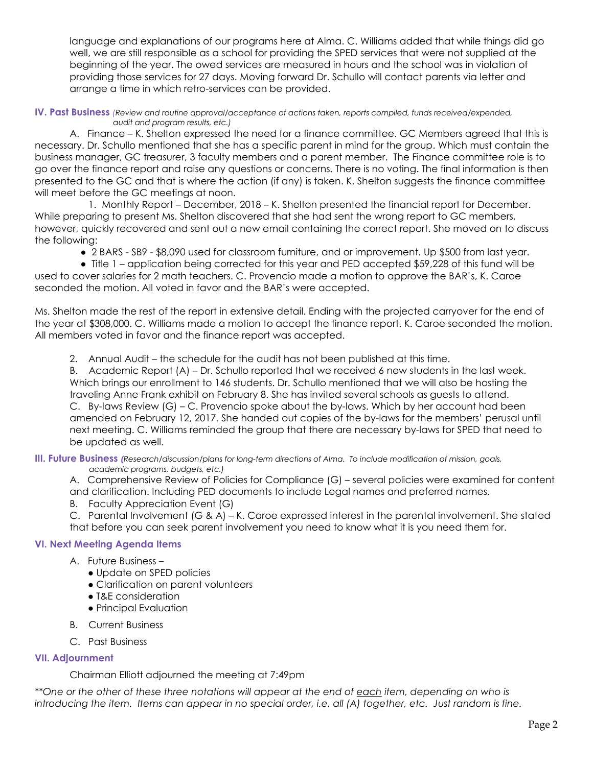language and explanations of our programs here at Alma. C. Williams added that while things did go well, we are still responsible as a school for providing the SPED services that were not supplied at the beginning of the year. The owed services are measured in hours and the school was in violation of providing those services for 27 days. Moving forward Dr. Schullo will contact parents via letter and arrange a time in which retro-services can be provided.

**IV. Past Business** *(Review and routine approval/acceptance of actions taken, reports compiled, funds received/expended, audit and program results, etc.)*

A. Finance – K. Shelton expressed the need for a finance committee. GC Members agreed that this is necessary. Dr. Schullo mentioned that she has a specific parent in mind for the group. Which must contain the business manager, GC treasurer, 3 faculty members and a parent member. The Finance committee role is to go over the finance report and raise any questions or concerns. There is no voting. The final information is then presented to the GC and that is where the action (if any) is taken. K. Shelton suggests the finance committee will meet before the GC meetings at noon.

 1. Monthly Report – December, 2018 – K. Shelton presented the financial report for December. While preparing to present Ms. Shelton discovered that she had sent the wrong report to GC members, however, quickly recovered and sent out a new email containing the correct report. She moved on to discuss the following:

● 2 BARS - SB9 - \$8,090 used for classroom furniture, and or improvement. Up \$500 from last year.

 ● Title 1 – application being corrected for this year and PED accepted \$59,228 of this fund will be used to cover salaries for 2 math teachers. C. Provencio made a motion to approve the BAR's, K. Caroe seconded the motion. All voted in favor and the BAR's were accepted.

Ms. Shelton made the rest of the report in extensive detail. Ending with the projected carryover for the end of the year at \$308,000. C. Williams made a motion to accept the finance report. K. Caroe seconded the motion. All members voted in favor and the finance report was accepted.

2. Annual Audit – the schedule for the audit has not been published at this time.

B. Academic Report (A) – Dr. Schullo reported that we received 6 new students in the last week. Which brings our enrollment to 146 students. Dr. Schullo mentioned that we will also be hosting the traveling Anne Frank exhibit on February 8. She has invited several schools as guests to attend. C. By-laws Review (G) – C. Provencio spoke about the by-laws. Which by her account had been amended on February 12, 2017. She handed out copies of the by-laws for the members' perusal until next meeting. C. Williams reminded the group that there are necessary by-laws for SPED that need to be updated as well.

**III. Future Business** *(Research/discussion/plans for long-term directions of Alma. To include modification of mission, goals, academic programs, budgets, etc.)*

A. Comprehensive Review of Policies for Compliance (G) – several policies were examined for content and clarification. Including PED documents to include Legal names and preferred names.

B. Faculty Appreciation Event (G)

C. Parental Involvement (G & A) – K. Caroe expressed interest in the parental involvement. She stated that before you can seek parent involvement you need to know what it is you need them for.

#### **VI. Next Meeting Agenda Items**

- A. Future Business
	- Update on SPED policies
	- Clarification on parent volunteers
	- T&E consideration
	- Principal Evaluation
- B. Current Business
- C. Past Business

#### **VII. Adjournment**

Chairman Elliott adjourned the meeting at 7:49pm

*\*\*One or the other of these three notations will appear at the end of each item, depending on who is introducing the item. Items can appear in no special order, i.e. all (A) together, etc. Just random is fine.*